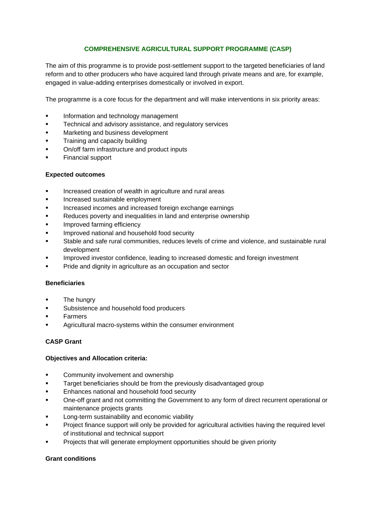# **COMPREHENSIVE AGRICULTURAL SUPPORT PROGRAMME (CASP)**

The aim of this programme is to provide post-settlement support to the targeted beneficiaries of land reform and to other producers who have acquired land through private means and are, for example, engaged in value-adding enterprises domestically or involved in export.

The programme is a core focus for the department and will make interventions in six priority areas:

- Information and technology management
- Technical and advisory assistance, and regulatory services
- Marketing and business development
- Training and capacity building
- On/off farm infrastructure and product inputs
- Financial support

### **Expected outcomes**

- **Increased creation of wealth in agriculture and rural areas**
- Increased sustainable employment
- Increased incomes and increased foreign exchange earnings
- Reduces poverty and inequalities in land and enterprise ownership
- Improved farming efficiency
- Improved national and household food security
- Stable and safe rural communities, reduces levels of crime and violence, and sustainable rural development
- Improved investor confidence, leading to increased domestic and foreign investment
- Pride and dignity in agriculture as an occupation and sector

## **Beneficiaries**

- The hungry
- Subsistence and household food producers
- Farmers
- Agricultural macro-systems within the consumer environment

## **CASP Grant**

### **Objectives and Allocation criteria:**

- Community involvement and ownership
- Target beneficiaries should be from the previously disadvantaged group
- Enhances national and household food security
- One-off grant and not committing the Government to any form of direct recurrent operational or maintenance projects grants
- Long-term sustainability and economic viability
- Project finance support will only be provided for agricultural activities having the required level of institutional and technical support
- Projects that will generate employment opportunities should be given priority

## **Grant conditions**